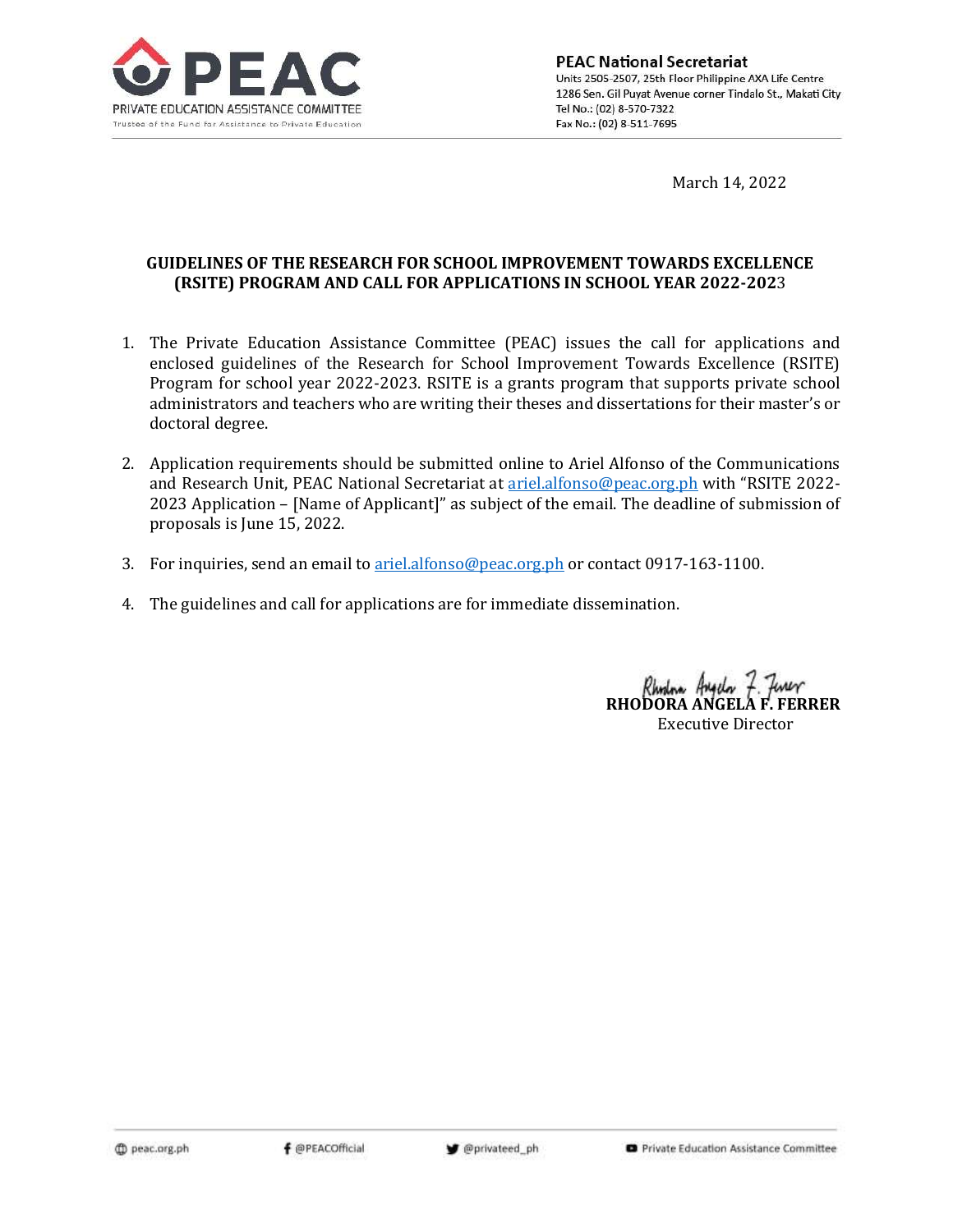

**PEAC National Secretariat** Units 2505-2507, 25th Floor Philippine AXA Life Centre 1286 Sen. Gil Puyat Avenue corner Tindalo St., Makati City Tel No.: (02) 8-570-7322 Fax No.: (02) 8-511-7695

March 14, 2022

## **GUIDELINES OF THE RESEARCH FOR SCHOOL IMPROVEMENT TOWARDS EXCELLENCE (RSITE) PROGRAM AND CALL FOR APPLICATIONS IN SCHOOL YEAR 2022-202**3

- 1. The Private Education Assistance Committee (PEAC) issues the call for applications and enclosed guidelines of the Research for School Improvement Towards Excellence (RSITE) Program for school year 2022-2023. RSITE is a grants program that supports private school administrators and teachers who are writing their theses and dissertations for their master's or doctoral degree.
- 2. Application requirements should be submitted online to Ariel Alfonso of the Communications and Research Unit, PEAC National Secretariat at [ariel.alfonso@peac.org.ph](mailto:ariel.alfonso@peac.org.ph) with "RSITE 2022- 2023 Application – [Name of Applicant]" as subject of the email. The deadline of submission of proposals is June 15, 2022.
- 3. For inquiries, send an email t[o ariel.alfonso@peac.org.ph](mailto:ariel.alfonso@peac.org.ph) or contact 0917-163-1100.
- 4. The guidelines and call for applications are for immediate dissemination.

**RHODORA ANGELA F. FERRER** Executive Director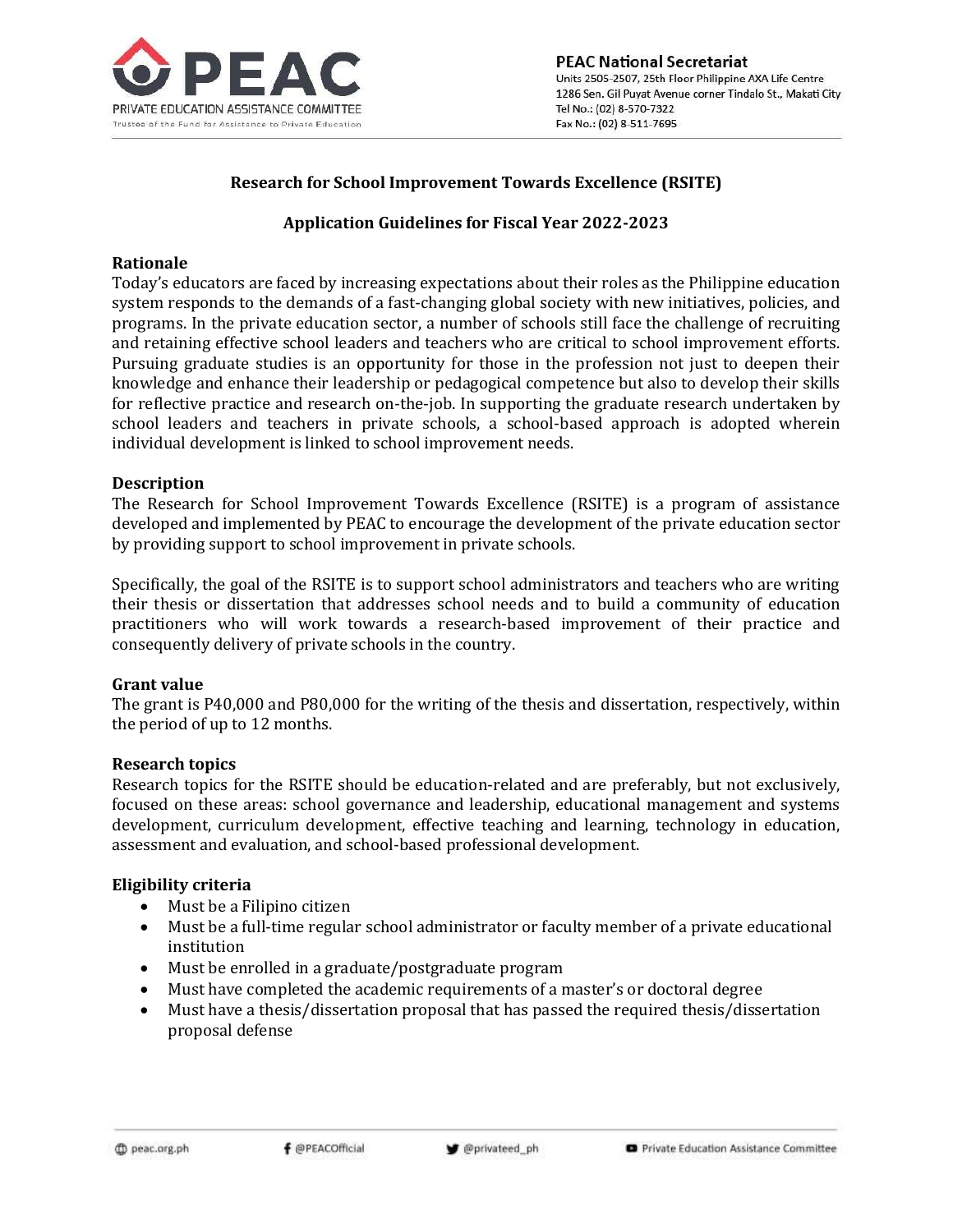

### **Research for School Improvement Towards Excellence (RSITE)**

### **Application Guidelines for Fiscal Year 2022-2023**

#### **Rationale**

Today's educators are faced by increasing expectations about their roles as the Philippine education system responds to the demands of a fast-changing global society with new initiatives, policies, and programs. In the private education sector, a number of schools still face the challenge of recruiting and retaining effective school leaders and teachers who are critical to school improvement efforts. Pursuing graduate studies is an opportunity for those in the profession not just to deepen their knowledge and enhance their leadership or pedagogical competence but also to develop their skills for reflective practice and research on-the-job. In supporting the graduate research undertaken by school leaders and teachers in private schools, a school-based approach is adopted wherein individual development is linked to school improvement needs.

### **Description**

The Research for School Improvement Towards Excellence (RSITE) is a program of assistance developed and implemented by PEAC to encourage the development of the private education sector by providing support to school improvement in private schools.

Specifically, the goal of the RSITE is to support school administrators and teachers who are writing their thesis or dissertation that addresses school needs and to build a community of education practitioners who will work towards a research-based improvement of their practice and consequently delivery of private schools in the country.

### **Grant value**

The grant is P40,000 and P80,000 for the writing of the thesis and dissertation, respectively, within the period of up to 12 months.

#### **Research topics**

Research topics for the RSITE should be education-related and are preferably, but not exclusively, focused on these areas: school governance and leadership, educational management and systems development, curriculum development, effective teaching and learning, technology in education, assessment and evaluation, and school-based professional development.

### **Eligibility criteria**

- Must be a Filipino citizen
- Must be a full-time regular school administrator or faculty member of a private educational institution
- Must be enrolled in a graduate/postgraduate program
- Must have completed the academic requirements of a master's or doctoral degree
- Must have a thesis/dissertation proposal that has passed the required thesis/dissertation proposal defense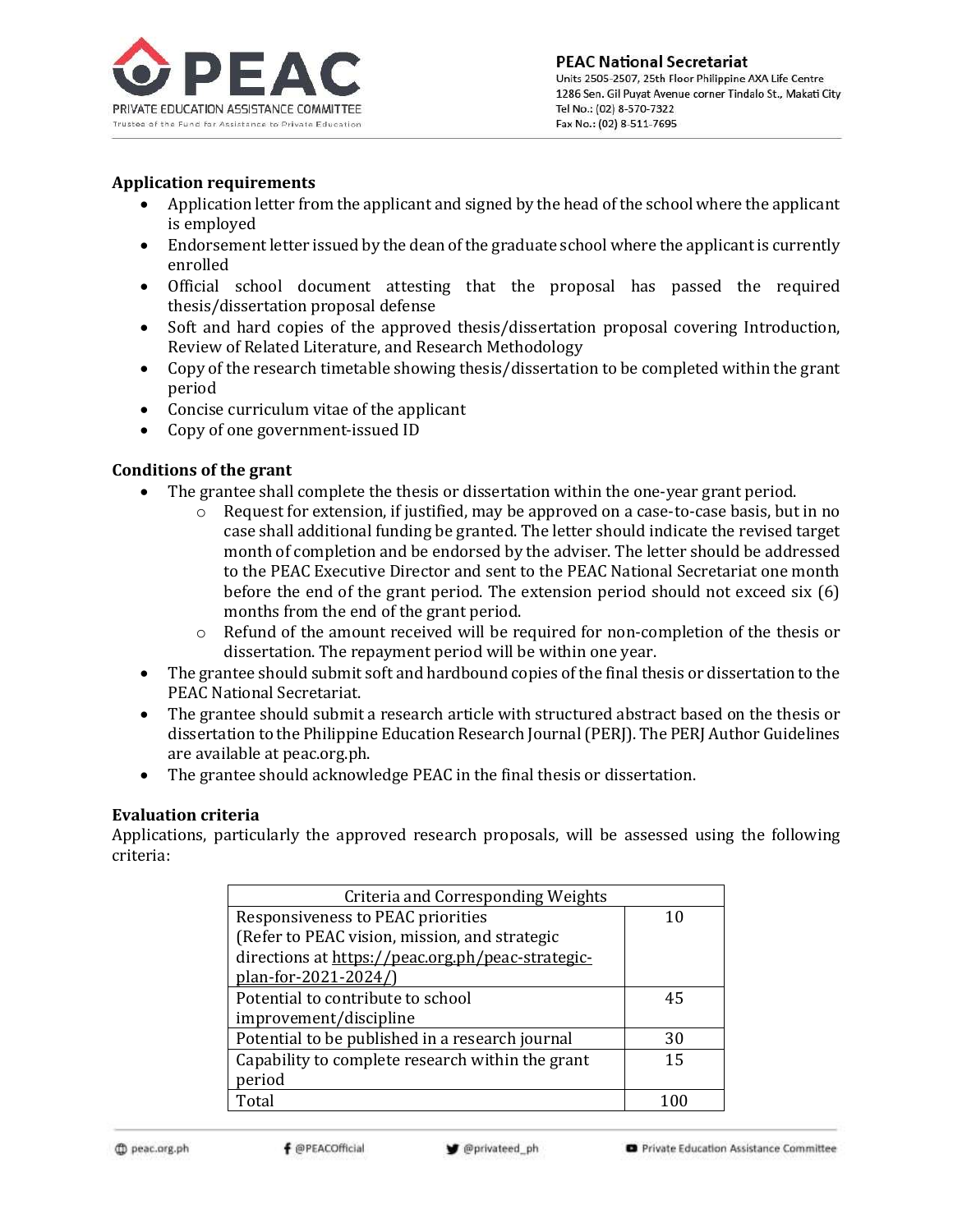

### **Application requirements**

- Application letter from the applicant and signed by the head of the school where the applicant is employed
- Endorsement letter issued by the dean of the graduate school where the applicant is currently enrolled
- Official school document attesting that the proposal has passed the required thesis/dissertation proposal defense
- Soft and hard copies of the approved thesis/dissertation proposal covering Introduction, Review of Related Literature, and Research Methodology
- Copy of the research timetable showing thesis/dissertation to be completed within the grant period
- Concise curriculum vitae of the applicant
- Copy of one government-issued ID

## **Conditions of the grant**

- The grantee shall complete the thesis or dissertation within the one-year grant period.
	- $\circ$  Request for extension, if justified, may be approved on a case-to-case basis, but in no case shall additional funding be granted. The letter should indicate the revised target month of completion and be endorsed by the adviser. The letter should be addressed to the PEAC Executive Director and sent to the PEAC National Secretariat one month before the end of the grant period. The extension period should not exceed six (6) months from the end of the grant period.
	- o Refund of the amount received will be required for non-completion of the thesis or dissertation. The repayment period will be within one year.
- The grantee should submit soft and hardbound copies of the final thesis or dissertation to the PEAC National Secretariat.
- The grantee should submit a research article with structured abstract based on the thesis or dissertation to the Philippine Education Research Journal (PERJ). The PERJ Author Guidelines are available at peac.org.ph.
- The grantee should acknowledge PEAC in the final thesis or dissertation.

### **Evaluation criteria**

Applications, particularly the approved research proposals, will be assessed using the following criteria:

| Criteria and Corresponding Weights                |    |
|---------------------------------------------------|----|
| Responsiveness to PEAC priorities                 |    |
| (Refer to PEAC vision, mission, and strategic     |    |
| directions at https://peac.org.ph/peac-strategic- |    |
| plan-for-2021-2024/)                              |    |
| Potential to contribute to school                 | 45 |
| improvement/discipline                            |    |
| Potential to be published in a research journal   | 30 |
| Capability to complete research within the grant  | 15 |
| period                                            |    |
| Total                                             |    |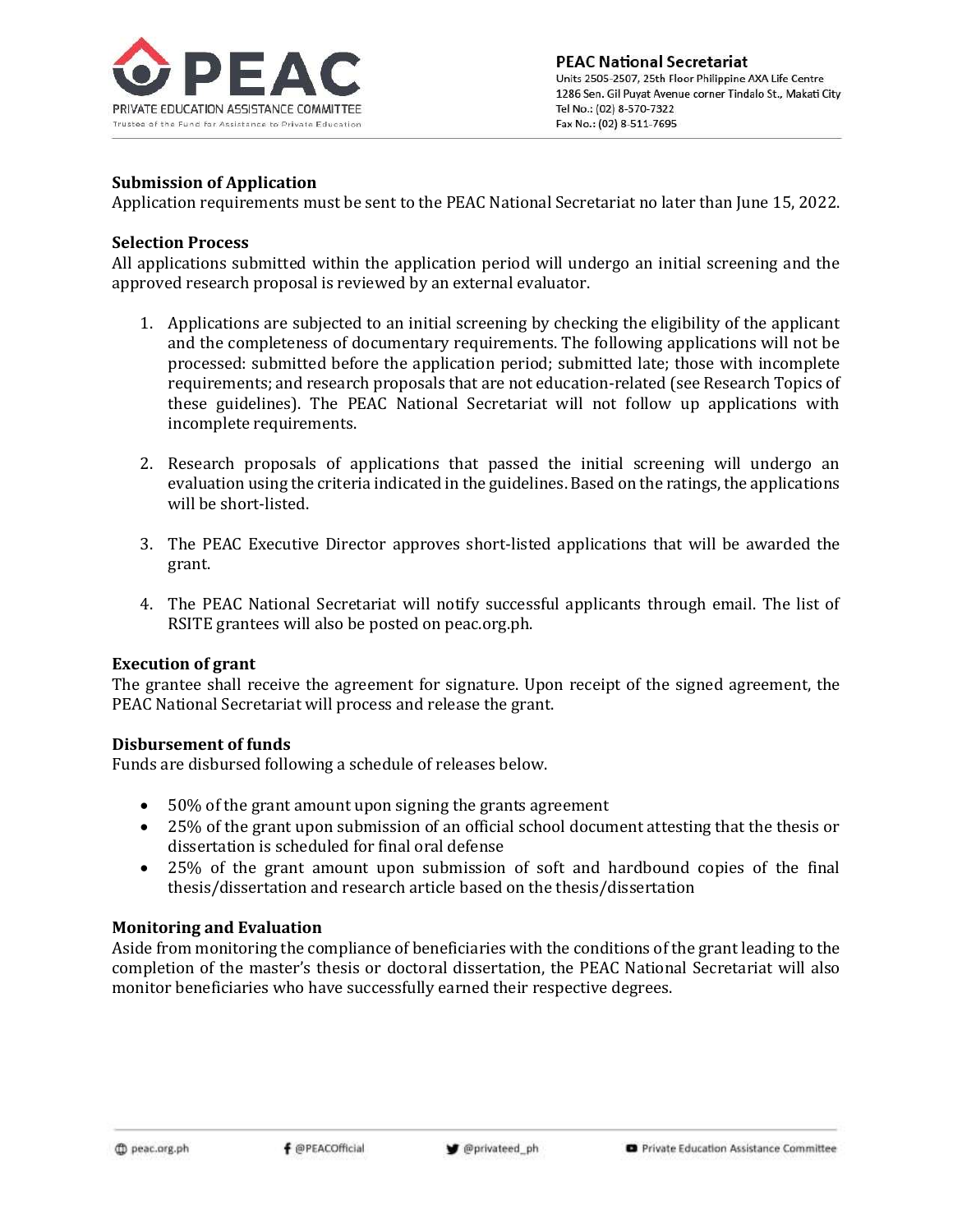

### **Submission of Application**

Application requirements must be sent to the PEAC National Secretariat no later than June 15, 2022.

### **Selection Process**

All applications submitted within the application period will undergo an initial screening and the approved research proposal is reviewed by an external evaluator.

- 1. Applications are subjected to an initial screening by checking the eligibility of the applicant and the completeness of documentary requirements. The following applications will not be processed: submitted before the application period; submitted late; those with incomplete requirements; and research proposals that are not education-related (see Research Topics of these guidelines). The PEAC National Secretariat will not follow up applications with incomplete requirements.
- 2. Research proposals of applications that passed the initial screening will undergo an evaluation using the criteria indicated in the guidelines. Based on the ratings, the applications will be short-listed.
- 3. The PEAC Executive Director approves short-listed applications that will be awarded the grant.
- 4. The PEAC National Secretariat will notify successful applicants through email. The list of RSITE grantees will also be posted on peac.org.ph.

### **Execution of grant**

The grantee shall receive the agreement for signature. Upon receipt of the signed agreement, the PEAC National Secretariat will process and release the grant.

### **Disbursement of funds**

Funds are disbursed following a schedule of releases below.

- 50% of the grant amount upon signing the grants agreement
- 25% of the grant upon submission of an official school document attesting that the thesis or dissertation is scheduled for final oral defense
- 25% of the grant amount upon submission of soft and hardbound copies of the final thesis/dissertation and research article based on the thesis/dissertation

### **Monitoring and Evaluation**

Aside from monitoring the compliance of beneficiaries with the conditions of the grant leading to the completion of the master's thesis or doctoral dissertation, the PEAC National Secretariat will also monitor beneficiaries who have successfully earned their respective degrees.